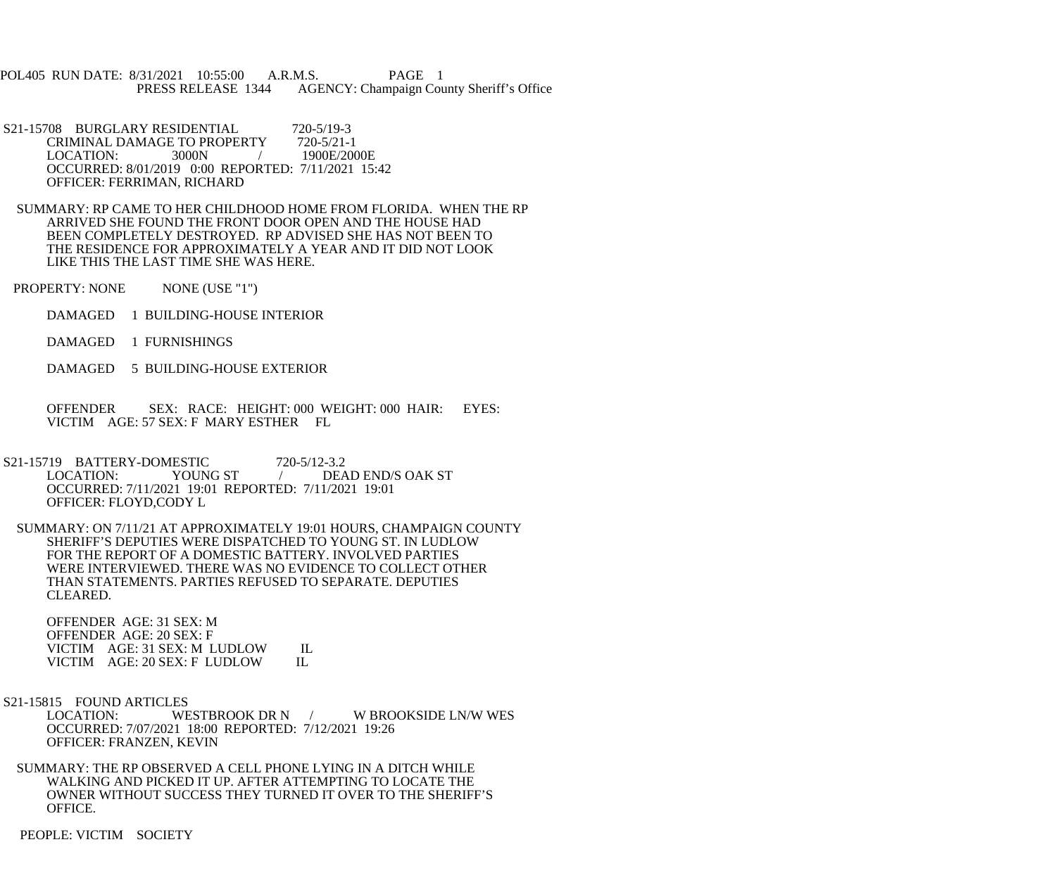POL405 RUN DATE: 8/31/2021 10:55:00 A.R.M.S. PAGE 1 PRESS RELEASE 1344 AGENCY: Champaign County Sheriff's Office

S21-15708 BURGLARY RESIDENTIAL 720-5/19-3<br>CRIMINAL DAMAGE TO PROPERTY 720-5/21-1 CRIMINAL DAMAGE TO PROPERTY LOCATION: 3000N / 1900E/2000E OCCURRED: 8/01/2019 0:00 REPORTED: 7/11/2021 15:42 OFFICER: FERRIMAN, RICHARD

 SUMMARY: RP CAME TO HER CHILDHOOD HOME FROM FLORIDA. WHEN THE RP ARRIVED SHE FOUND THE FRONT DOOR OPEN AND THE HOUSE HAD BEEN COMPLETELY DESTROYED. RP ADVISED SHE HAS NOT BEEN TO THE RESIDENCE FOR APPROXIMATELY A YEAR AND IT DID NOT LOOK LIKE THIS THE LAST TIME SHE WAS HERE.

PROPERTY: NONE NONE (USE "1")

DAMAGED 1 BUILDING-HOUSE INTERIOR

DAMAGED 1 FURNISHINGS

DAMAGED 5 BUILDING-HOUSE EXTERIOR

 OFFENDER SEX: RACE: HEIGHT: 000 WEIGHT: 000 HAIR: EYES: VICTIM AGE: 57 SEX: F MARY ESTHER FL

S21-15719 BATTERY-DOMESTIC 720-5/12-3.2<br>LOCATION: YOUNG ST / DEA DEAD END/S OAK ST OCCURRED: 7/11/2021 19:01 REPORTED: 7/11/2021 19:01 OFFICER: FLOYD,CODY L

 SUMMARY: ON 7/11/21 AT APPROXIMATELY 19:01 HOURS, CHAMPAIGN COUNTY SHERIFF'S DEPUTIES WERE DISPATCHED TO YOUNG ST. IN LUDLOW FOR THE REPORT OF A DOMESTIC BATTERY. INVOLVED PARTIES WERE INTERVIEWED. THERE WAS NO EVIDENCE TO COLLECT OTHER THAN STATEMENTS. PARTIES REFUSED TO SEPARATE. DEPUTIES CLEARED.

 OFFENDER AGE: 31 SEX: M OFFENDER AGE: 20 SEX: F VICTIM AGE: 31 SEX: M LUDLOW IL<br>VICTIM AGE: 20 SEX: F LUDLOW IL VICTIM AGE: 20 SEX: F LUDLOW

S21-15815 FOUND ARTICLES<br>LOCATION: WESTBROOK DR N / W BROOKSIDE LN/W WEST OCCURRED: 7/07/2021 18:00 REPORTED: 7/12/2021 19:26 OFFICER: FRANZEN, KEVIN

 SUMMARY: THE RP OBSERVED A CELL PHONE LYING IN A DITCH WHILE WALKING AND PICKED IT UP. AFTER ATTEMPTING TO LOCATE THE OWNER WITHOUT SUCCESS THEY TURNED IT OVER TO THE SHERIFF'S OFFICE.

PEOPLE: VICTIM SOCIETY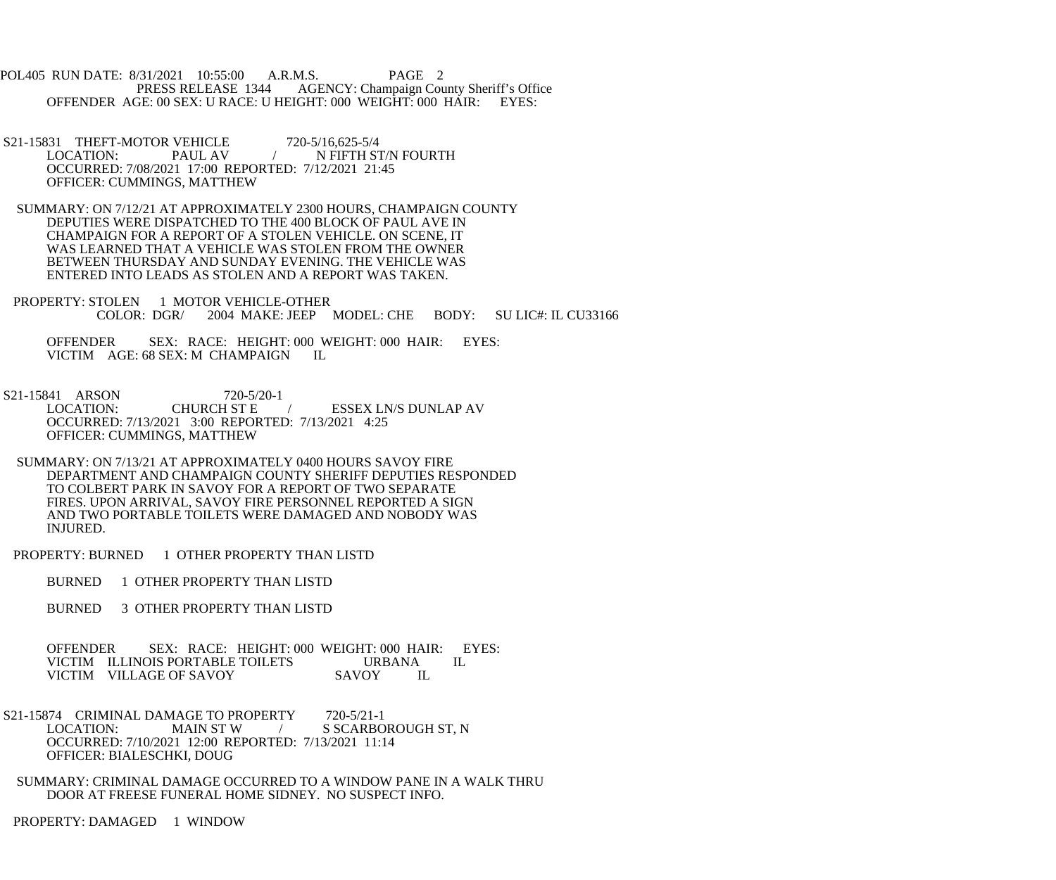POL405 RUN DATE: 8/31/2021 10:55:00 A.R.M.S. PAGE 2<br>PRESS RELEASE 1344 AGENCY: Champaign Cou AGENCY: Champaign County Sheriff's Office OFFENDER AGE: 00 SEX: U RACE: U HEIGHT: 000 WEIGHT: 000 HAIR: EYES:

- S21-15831 THEFT-MOTOR VEHICLE 720-5/16,625-5/4 LOCATION: PAUL AV / N FIFTH ST/N FOURTH OCCURRED: 7/08/2021 17:00 REPORTED: 7/12/2021 21:45 OFFICER: CUMMINGS, MATTHEW
- SUMMARY: ON 7/12/21 AT APPROXIMATELY 2300 HOURS, CHAMPAIGN COUNTY DEPUTIES WERE DISPATCHED TO THE 400 BLOCK OF PAUL AVE IN CHAMPAIGN FOR A REPORT OF A STOLEN VEHICLE. ON SCENE, IT WAS LEARNED THAT A VEHICLE WAS STOLEN FROM THE OWNER BETWEEN THURSDAY AND SUNDAY EVENING. THE VEHICLE WAS ENTERED INTO LEADS AS STOLEN AND A REPORT WAS TAKEN.
- PROPERTY: STOLEN 1 MOTOR VEHICLE-OTHER<br>COLOR: DGR/ 2004 MAKE: JEEP 2004 MAKE: JEEP MODEL: CHE BODY: SU LIC#: IL CU33166

 OFFENDER SEX: RACE: HEIGHT: 000 WEIGHT: 000 HAIR: EYES: VICTIM AGE: 68 SEX: M CHAMPAIGN IL

- S21-15841 ARSON 720-5/20-1<br>LOCATION: CHURCH ST E / ESSEX LN/S DUNLAP AV OCCURRED: 7/13/2021 3:00 REPORTED: 7/13/2021 4:25 OFFICER: CUMMINGS, MATTHEW
- SUMMARY: ON 7/13/21 AT APPROXIMATELY 0400 HOURS SAVOY FIRE DEPARTMENT AND CHAMPAIGN COUNTY SHERIFF DEPUTIES RESPONDED TO COLBERT PARK IN SAVOY FOR A REPORT OF TWO SEPARATE FIRES. UPON ARRIVAL, SAVOY FIRE PERSONNEL REPORTED A SIGN AND TWO PORTABLE TOILETS WERE DAMAGED AND NOBODY WAS INJURED.
- PROPERTY: BURNED 1 OTHER PROPERTY THAN LISTD

BURNED 1 OTHER PROPERTY THAN LISTD

BURNED 3 OTHER PROPERTY THAN LISTD

OFFENDER SEX: RACE: HEIGHT: 000 WEIGHT: 000 HAIR: EYES:<br>VICTIM ILLINOIS PORTABLE TOILETS URBANA IL VICTIM ILLINOIS PORTABLE TOILETS URBANA<br>VICTIM VILLAGE OF SAVOY SAVOY IL VICTIM VILLAGE OF SAVOY

- S21-15874 CRIMINAL DAMAGE TO PROPERTY 720-5/21-1<br>LOCATION: MAIN ST W / S SCARBO S SCARBOROUGH ST, N OCCURRED: 7/10/2021 12:00 REPORTED: 7/13/2021 11:14 OFFICER: BIALESCHKI, DOUG
- SUMMARY: CRIMINAL DAMAGE OCCURRED TO A WINDOW PANE IN A WALK THRU DOOR AT FREESE FUNERAL HOME SIDNEY. NO SUSPECT INFO.

PROPERTY: DAMAGED 1 WINDOW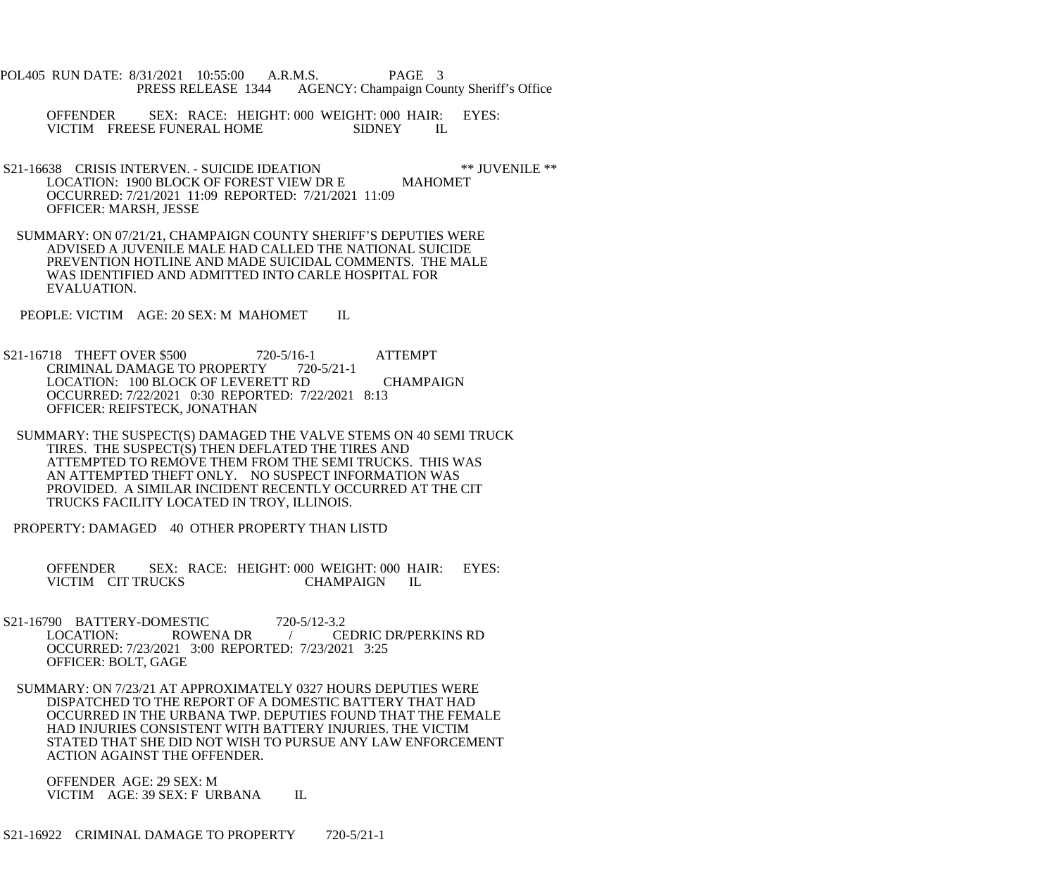- POL405 RUN DATE: 8/31/2021 10:55:00 A.R.M.S. PAGE 3 PRESS RELEASE 1344 AGENCY: Champaign County Sheriff's Office
	- OFFENDER SEX: RACE: HEIGHT: 000 WEIGHT: 000 HAIR: EYES: VICTIM FREESE FUNERAL HOME SIDNEY IL
- S21-16638 CRISIS INTERVEN. SUICIDE IDEATION \*\* JUVENILE \*\*<br>LOCATION: 1900 BLOCK OF FOREST VIEW DR E MAHOMET LOCATION: 1900 BLOCK OF FOREST VIEW DR E OCCURRED: 7/21/2021 11:09 REPORTED: 7/21/2021 11:09 OFFICER: MARSH, JESSE
- SUMMARY: ON 07/21/21, CHAMPAIGN COUNTY SHERIFF'S DEPUTIES WERE ADVISED A JUVENILE MALE HAD CALLED THE NATIONAL SUICIDE PREVENTION HOTLINE AND MADE SUICIDAL COMMENTS. THE MALE WAS IDENTIFIED AND ADMITTED INTO CARLE HOSPITAL FOR EVALUATION.
- PEOPLE: VICTIM AGE: 20 SEX: M MAHOMET IL
- S21-16718 THEFT OVER \$500 720-5/16-1 ATTEMPT<br>CRIMINAL DAMAGE TO PROPERTY 720-5/21-1 CRIMINAL DAMAGE TO PROPERTY LOCATION: 100 BLOCK OF LEVERETT RD CHAMPAIGN OCCURRED: 7/22/2021 0:30 REPORTED: 7/22/2021 8:13 OFFICER: REIFSTECK, JONATHAN
- SUMMARY: THE SUSPECT(S) DAMAGED THE VALVE STEMS ON 40 SEMI TRUCK TIRES. THE SUSPECT(S) THEN DEFLATED THE TIRES AND ATTEMPTED TO REMOVE THEM FROM THE SEMI TRUCKS. THIS WAS AN ATTEMPTED THEFT ONLY. NO SUSPECT INFORMATION WAS PROVIDED. A SIMILAR INCIDENT RECENTLY OCCURRED AT THE CIT TRUCKS FACILITY LOCATED IN TROY, ILLINOIS.
- PROPERTY: DAMAGED 40 OTHER PROPERTY THAN LISTD
	- OFFENDER SEX: RACE: HEIGHT: 000 WEIGHT: 000 HAIR: EYES:<br>VICTIM CITTRUCKS CHAMPAIGN IL VICTIM CIT TRUCKS CHAMPAIGN IL
- S21-16790 BATTERY-DOMESTIC 720-5/12-3.2<br>LOCATION: ROWENA DR / CF LOCATION: ROWENA DR / CEDRIC DR/PERKINS RD OCCURRED: 7/23/2021 3:00 REPORTED: 7/23/2021 3:25 OFFICER: BOLT, GAGE
- SUMMARY: ON 7/23/21 AT APPROXIMATELY 0327 HOURS DEPUTIES WERE DISPATCHED TO THE REPORT OF A DOMESTIC BATTERY THAT HAD OCCURRED IN THE URBANA TWP. DEPUTIES FOUND THAT THE FEMALE HAD INJURIES CONSISTENT WITH BATTERY INJURIES. THE VICTIM STATED THAT SHE DID NOT WISH TO PURSUE ANY LAW ENFORCEMENT ACTION AGAINST THE OFFENDER.
	- OFFENDER AGE: 29 SEX: M VICTIM AGE: 39 SEX: F URBANA IL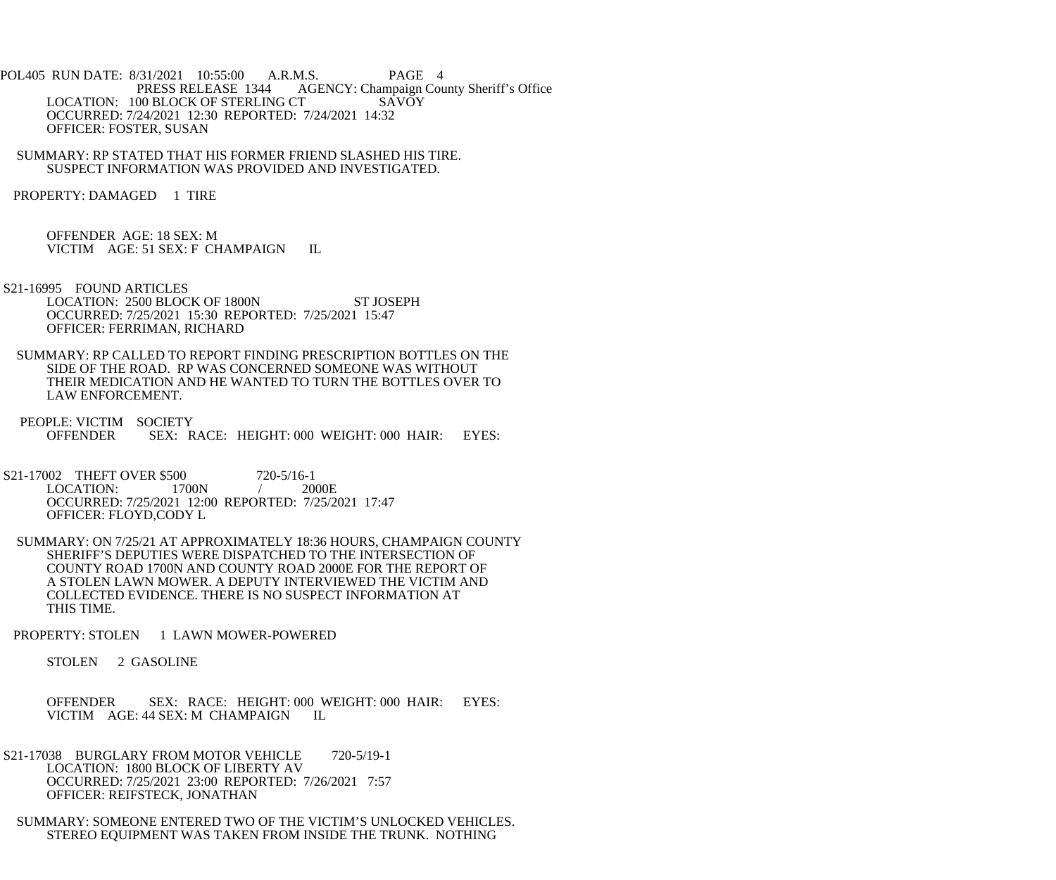- POL405 RUN DATE: 8/31/2021 10:55:00 A.R.M.S. PAGE 4<br>PRESS RELEASE 1344 AGENCY: Champaign Cou AGENCY: Champaign County Sheriff's Office LOCATION: 100 BLOCK OF STERLING CT SAVOY OCCURRED: 7/24/2021 12:30 REPORTED: 7/24/2021 14:32 OFFICER: FOSTER, SUSAN
- SUMMARY: RP STATED THAT HIS FORMER FRIEND SLASHED HIS TIRE. SUSPECT INFORMATION WAS PROVIDED AND INVESTIGATED.
- PROPERTY: DAMAGED 1 TIRE

 OFFENDER AGE: 18 SEX: M VICTIM AGE: 51 SEX: F CHAMPAIGN IL

- S21-16995 FOUND ARTICLES LOCATION: 2500 BLOCK OF 1800N ST JOSEPH OCCURRED: 7/25/2021 15:30 REPORTED: 7/25/2021 15:47 OFFICER: FERRIMAN, RICHARD
- SUMMARY: RP CALLED TO REPORT FINDING PRESCRIPTION BOTTLES ON THE SIDE OF THE ROAD. RP WAS CONCERNED SOMEONE WAS WITHOUT THEIR MEDICATION AND HE WANTED TO TURN THE BOTTLES OVER TO LAW ENFORCEMENT.
- PEOPLE: VICTIM SOCIETY<br>OFFENDER SEX: R SEX: RACE: HEIGHT: 000 WEIGHT: 000 HAIR: EYES:
- S21-17002 THEFT OVER \$500 720-5/16-1<br>LOCATION: 1700N / 2000E  $LOGATION: 1700N$  / OCCURRED: 7/25/2021 12:00 REPORTED: 7/25/2021 17:47 OFFICER: FLOYD,CODY L
- SUMMARY: ON 7/25/21 AT APPROXIMATELY 18:36 HOURS, CHAMPAIGN COUNTY SHERIFF'S DEPUTIES WERE DISPATCHED TO THE INTERSECTION OF COUNTY ROAD 1700N AND COUNTY ROAD 2000E FOR THE REPORT OF A STOLEN LAWN MOWER. A DEPUTY INTERVIEWED THE VICTIM AND COLLECTED EVIDENCE. THERE IS NO SUSPECT INFORMATION AT THIS TIME.
- PROPERTY: STOLEN 1 LAWN MOWER-POWERED
	- STOLEN 2 GASOLINE
	- OFFENDER SEX: RACE: HEIGHT: 000 WEIGHT: 000 HAIR: EYES: VICTIM AGE: 44 SEX: M CHAMPAIGN IL
- S21-17038 BURGLARY FROM MOTOR VEHICLE 720-5/19-1 LOCATION: 1800 BLOCK OF LIBERTY AV OCCURRED: 7/25/2021 23:00 REPORTED: 7/26/2021 7:57 OFFICER: REIFSTECK, JONATHAN
- SUMMARY: SOMEONE ENTERED TWO OF THE VICTIM'S UNLOCKED VEHICLES. STEREO EQUIPMENT WAS TAKEN FROM INSIDE THE TRUNK. NOTHING